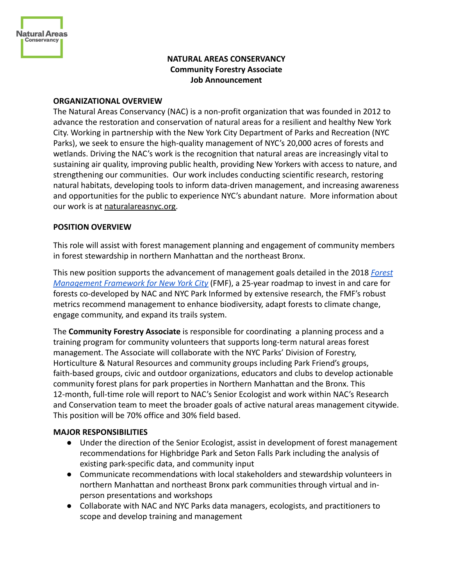

# **NATURAL AREAS CONSERVANCY Community Forestry Associate Job Announcement**

#### **ORGANIZATIONAL OVERVIEW**

The Natural Areas Conservancy (NAC) is a non-profit organization that was founded in 2012 to advance the restoration and conservation of natural areas for a resilient and healthy New York City. Working in partnership with the New York City Department of Parks and Recreation (NYC Parks), we seek to ensure the high-quality management of NYC's 20,000 acres of forests and wetlands. Driving the NAC's work is the recognition that natural areas are increasingly vital to sustaining air quality, improving public health, providing New Yorkers with access to nature, and strengthening our communities. Our work includes conducting scientific research, restoring natural habitats, developing tools to inform data-driven management, and increasing awareness and opportunities for the public to experience NYC's abundant nature. More information about our work is at [naturalareasnyc.org.](http://www.naturalareasnyc.org)

### **POSITION OVERVIEW**

This role will assist with forest management planning and engagement of community members in forest stewardship in northern Manhattan and the northeast Bronx.

This new position supports the advancement of management goals detailed in the 2018 *[Forest](https://naturalareasnyc.org/forests) [Management Framework for New York City](https://naturalareasnyc.org/forests)* (FMF), a 25-year roadmap to invest in and care for forests co-developed by NAC and NYC Park Informed by extensive research, the FMF's robust metrics recommend management to enhance biodiversity, adapt forests to climate change, engage community, and expand its trails system.

The **Community Forestry Associate** is responsible for coordinating a planning process and a training program for community volunteers that supports long-term natural areas forest management. The Associate will collaborate with the NYC Parks' Division of Forestry, Horticulture & Natural Resources and community groups including Park Friend's groups, faith-based groups, civic and outdoor organizations, educators and clubs to develop actionable community forest plans for park properties in Northern Manhattan and the Bronx. This 12-month, full-time role will report to NAC's Senior Ecologist and work within NAC's Research and Conservation team to meet the broader goals of active natural areas management citywide. This position will be 70% office and 30% field based.

### **MAJOR RESPONSIBILITIES**

- Under the direction of the Senior Ecologist, assist in development of forest management recommendations for Highbridge Park and Seton Falls Park including the analysis of existing park-specific data, and community input
- Communicate recommendations with local stakeholders and stewardship volunteers in northern Manhattan and northeast Bronx park communities through virtual and inperson presentations and workshops
- Collaborate with NAC and NYC Parks data managers, ecologists, and practitioners to scope and develop training and management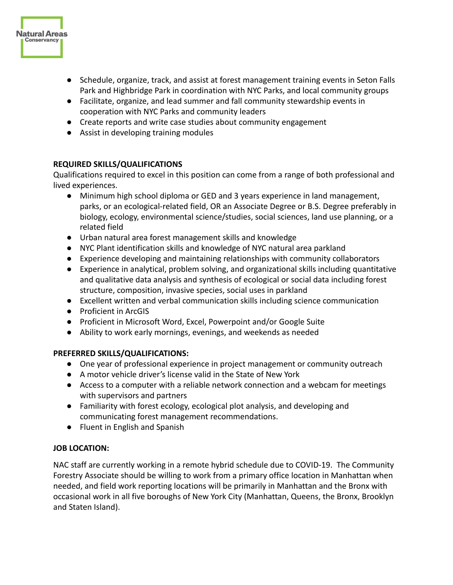

- Facilitate, organize, and lead summer and fall community stewardship events in cooperation with NYC Parks and community leaders
- Create reports and write case studies about community engagement
- Assist in developing training modules

## **REQUIRED SKILLS/QUALIFICATIONS**

**Natural Areas Conservancy** 

> Qualifications required to excel in this position can come from a range of both professional and lived experiences.

- Minimum high school diploma or GED and 3 years experience in land management, parks, or an ecological-related field, OR an Associate Degree or B.S. Degree preferably in biology, ecology, environmental science/studies, social sciences, land use planning, or a related field
- Urban natural area forest management skills and knowledge
- NYC Plant identification skills and knowledge of NYC natural area parkland
- Experience developing and maintaining relationships with community collaborators
- Experience in analytical, problem solving, and organizational skills including quantitative and qualitative data analysis and synthesis of ecological or social data including forest structure, composition, invasive species, social uses in parkland
- Excellent written and verbal communication skills including science communication
- Proficient in ArcGIS
- Proficient in Microsoft Word, Excel, Powerpoint and/or Google Suite
- Ability to work early mornings, evenings, and weekends as needed

## **PREFERRED SKILLS/QUALIFICATIONS:**

- One year of professional experience in project management or community outreach
- A motor vehicle driver's license valid in the State of New York
- Access to a computer with a reliable network connection and a webcam for meetings with supervisors and partners
- Familiarity with forest ecology, ecological plot analysis, and developing and communicating forest management recommendations.
- Fluent in English and Spanish

## **JOB LOCATION:**

NAC staff are currently working in a remote hybrid schedule due to COVID-19. The Community Forestry Associate should be willing to work from a primary office location in Manhattan when needed, and field work reporting locations will be primarily in Manhattan and the Bronx with occasional work in all five boroughs of New York City (Manhattan, Queens, the Bronx, Brooklyn and Staten Island).